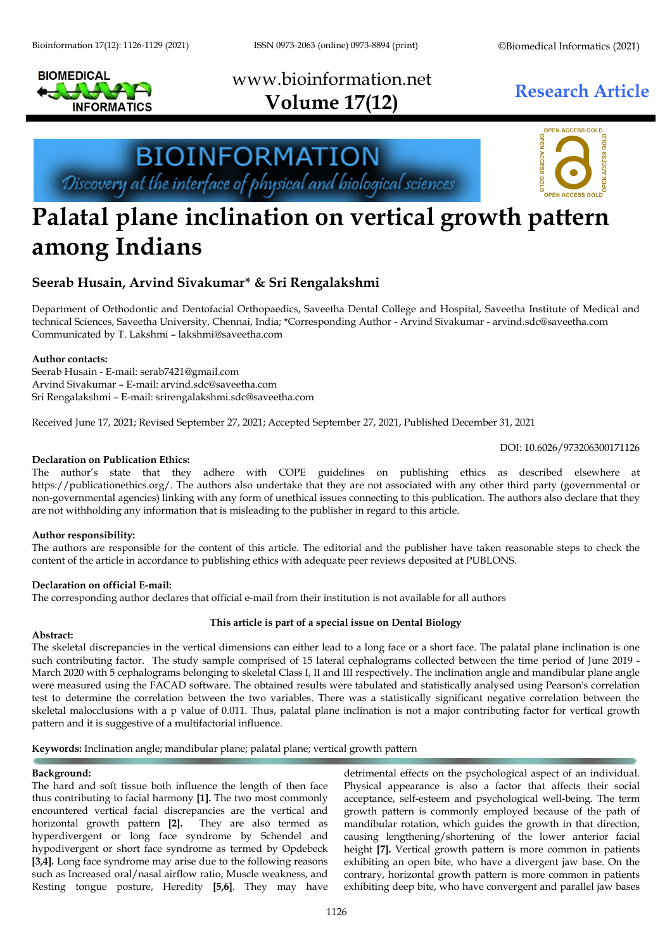

# www.bioinformation.net **Research Article Volume 17(12)**



## **Palatal plane inclination on vertical growth pattern among Indians**

### **Seerab Husain, Arvind Sivakumar\* & Sri Rengalakshmi**

**BIOINFORMATION** 

Discovery at the interface of physical and biological sciences

Department of Orthodontic and Dentofacial Orthopaedics, Saveetha Dental College and Hospital, Saveetha Institute of Medical and technical Sciences, Saveetha University, Chennai, India; \*Corresponding Author - Arvind Sivakumar - [arvind.sdc@saveetha.com](mailto:arvind.sdc@saveetha.com) Communicated by T. Lakshmi – lakshmi@saveetha.com

#### **Author contacts:**

Seerab Husain - E-mail: serab7421@gmail.com Arvind Sivakumar – E-mail[: arvind.sdc@saveetha.com](mailto:arvind.sdc@saveetha.com) Sri Rengalakshmi – E-mail: [srirengalakshmi.sdc@saveetha.com](mailto:srirengalakshmi.sdc@saveetha.com)

Received June 17, 2021; Revised September 27, 2021; Accepted September 27, 2021, Published December 31, 2021

DOI: 10.6026/973206300171126

#### **Declaration on Publication Ethics:**

The author's state that they adhere with COPE guidelines on publishing ethics as described elsewhere at https://publicationethics.org/. The authors also undertake that they are not associated with any other third party (governmental or non-governmental agencies) linking with any form of unethical issues connecting to this publication. The authors also declare that they are not withholding any information that is misleading to the publisher in regard to this article.

#### **Author responsibility:**

The authors are responsible for the content of this article. The editorial and the publisher have taken reasonable steps to check the content of the article in accordance to publishing ethics with adequate peer reviews deposited at PUBLONS.

#### **Declaration on official E-mail:**

The corresponding author declares that official e-mail from their institution is not available for all authors

#### **This article is part of a special issue on Dental Biology**

#### **Abstract:**

The skeletal discrepancies in the vertical dimensions can either lead to a long face or a short face. The palatal plane inclination is one such contributing factor. The study sample comprised of 15 lateral cephalograms collected between the time period of June 2019 - March 2020 with 5 cephalograms belonging to skeletal Class I, II and III respectively. The inclination angle and mandibular plane angle were measured using the FACAD software. The obtained results were tabulated and statistically analysed using Pearson's correlation test to determine the correlation between the two variables. There was a statistically significant negative correlation between the skeletal malocclusions with a p value of 0.011. Thus, palatal plane inclination is not a major contributing factor for vertical growth pattern and it is suggestive of a multifactorial influence.

**Keywords:** Inclination angle; mandibular plane; palatal plane; vertical growth pattern

#### **Background:**

The hard and soft tissue both influence the length of then face thus contributing to facial harmony **[\[1\]](https://paperpile.com/c/KJccfl/028n).** The two most commonly encountered vertical facial discrepancies are the vertical and horizontal growth pattern **[\[2\]](https://paperpile.com/c/KJccfl/Zj4a).** They are also termed as hyperdivergent or long face syndrome by Schendel and hypodivergent or short face syndrome as termed by Opdebeck **[\[3,4\]](https://paperpile.com/c/KJccfl/Avpa+497r).** Long face syndrome may arise due to the following reasons such as Increased oral/nasal airflow ratio, Muscle weakness, and Resting tongue posture, Heredity **[\[5,6\]](https://paperpile.com/c/KJccfl/RgZE+8adv)**. They may have

detrimental effects on the psychological aspect of an individual. Physical appearance is also a factor that affects their social acceptance, self-esteem and psychological well-being. The term growth pattern is commonly employed because of the path of mandibular rotation, which guides the growth in that direction, causing lengthening/shortening of the lower anterior facial height **[\[7\]](https://paperpile.com/c/KJccfl/s88I).** Vertical growth pattern is more common in patients exhibiting an open bite, who have a divergent jaw base. On the contrary, horizontal growth pattern is more common in patients exhibiting deep bite, who have convergent and parallel jaw bases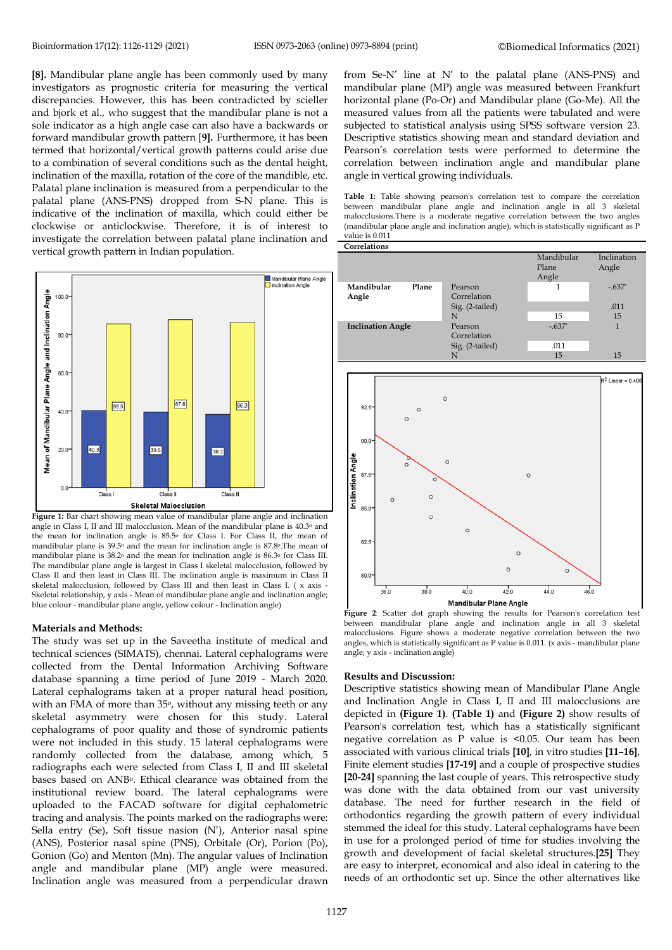**[\[8\]](https://paperpile.com/c/KJccfl/vPJh).** Mandibular plane angle has been commonly used by many investigators as prognostic criteria for measuring the vertical discrepancies. However, this has been contradicted by scieller and bjork et al., who suggest that the mandibular plane is not a sole indicator as a high angle case can also have a backwards or forward mandibular growth pattern [**9].** Furthermore, it has been termed that horizontal/vertical growth patterns could arise due to a combination of several conditions such as the dental height, inclination of the maxilla, rotation of the core of the mandible, etc. Palatal plane inclination is measured from a perpendicular to the palatal plane (ANS-PNS) dropped from S-N plane. This is indicative of the inclination of maxilla, which could either be clockwise or anticlockwise. Therefore, it is of interest to investigate the correlation between palatal plane inclination and vertical growth pattern in Indian population.



**Figure 1:** Bar chart showing mean value of mandibular plane angle and inclination angle in Class I, II and III malocclusion. Mean of the mandibular plane is 40.3o and the mean for inclination angle is 85.5o for Class I. For Class II, the mean of mandibular plane is 39.5o and the mean for inclination angle is 87.8o.The mean of mandibular plane is 38.2o and the mean for inclination angle is 86.3o for Class III. The mandibular plane angle is largest in Class I skeletal malocclusion, followed by Class II and then least in Class III. The inclination angle is maximum in Class II skeletal malocclusion, followed by Class III and then least in Class I. ( x axis - Skeletal relationship, y axis - Mean of mandibular plane angle and inclination angle; blue colour - mandibular plane angle, yellow colour - Inclination angle)

#### **Materials and Methods:**

The study was set up in the Saveetha institute of medical and technical sciences (SIMATS), chennai. Lateral cephalograms were collected from the Dental Information Archiving Software database spanning a time period of June 2019 - March 2020. Lateral cephalograms taken at a proper natural head position, with an FMA of more than 35°, without any missing teeth or any skeletal asymmetry were chosen for this study. Lateral cephalograms of poor quality and those of syndromic patients were not included in this study. 15 lateral cephalograms were randomly collected from the database, among which, 5 radiographs each were selected from Class I, II and III skeletal bases based on ANB<sup>o</sup>. Ethical clearance was obtained from the institutional review board. The lateral cephalograms were uploaded to the FACAD software for digital cephalometric tracing and analysis. The points marked on the radiographs were: Sella entry (Se), Soft tissue nasion (N'), Anterior nasal spine (ANS), Posterior nasal spine (PNS), Orbitale (Or), Porion (Po), Gonion (Go) and Menton (Mn). The angular values of Inclination angle and mandibular plane (MP) angle were measured. Inclination angle was measured from a perpendicular drawn

from Se-N' line at N' to the palatal plane (ANS-PNS) and mandibular plane (MP) angle was measured between Frankfurt horizontal plane (Po-Or) and Mandibular plane (Go-Me). All the measured values from all the patients were tabulated and were subjected to statistical analysis using SPSS software version 23. Descriptive statistics showing mean and standard deviation and Pearson's correlation tests were performed to determine the correlation between inclination angle and mandibular plane angle in vertical growing individuals.

**Table 1:** Table showing pearson's correlation test to compare the correlation between mandibular plane angle and inclination angle in all 3 skeletal malocclusions.There is a moderate negative correlation between the two angles (mandibular plane angle and inclination angle), which is statistically significant as P value is 0.011 **Correlations**



**Figure 2**: Scatter dot graph showing the results for Pearson's correlation test between mandibular plane angle and inclination angle in all 3 skeletal malocclusions. Figure shows a moderate negative correlation between the two angles, which is statistically significant as P value is 0.011. (x axis - mandibular plane angle; y axis - inclination angle)

#### **Results and Discussion:**

Descriptive statistics showing mean of Mandibular Plane Angle and Inclination Angle in Class I, II and III malocclusions are depicted in **(Figure 1)**. **(Table 1)** and **(Figure 2)** show results of Pearson's correlation test, which has a statistically significant negative correlation as P value is <0.05. Our team has been associated with various clinical trials **[\[1](https://paperpile.com/c/KJccfl/XdaSe)0]**, in vitro studies **[\[11–1](https://paperpile.com/c/KJccfl/p65Z+rX1S+v6djJ+oWmN+7tZ8+4XQO)6]**, Finite element studies **[\[1](https://paperpile.com/c/KJccfl/7nNi)7-19]** and a couple of prospective studies **[\[20-24](https://paperpile.com/c/KJccfl/Pup6+gIVsR+YK7S+BfPy+lTGb)]** spanning the last couple of years. This retrospective study was done with the data obtained from our vast university database. The need for further research in the field of orthodontics regarding the growth pattern of every individual stemmed the ideal for this study. Lateral cephalograms have been in use for a prolonged period of time for studies involving the growth and development of facial skeletal structures.**[\[2](https://paperpile.com/c/KJccfl/SlEF)5]** They are easy to interpret, economical and also ideal in catering to the needs of an orthodontic set up. Since the other alternatives like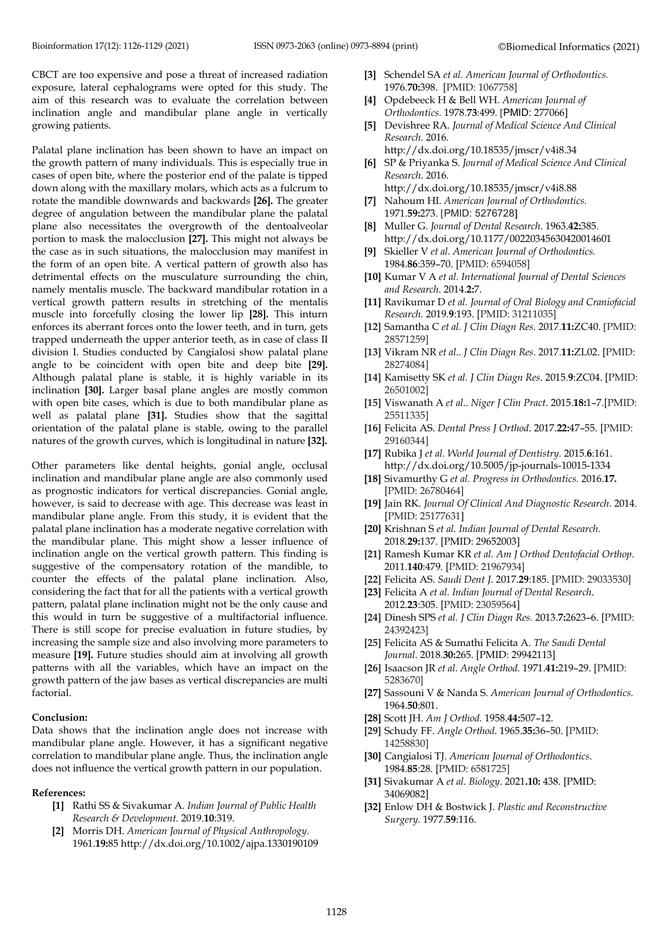CBCT are too expensive and pose a threat of increased radiation exposure, lateral cephalograms were opted for this study. The aim of this research was to evaluate the correlation between inclination angle and mandibular plane angle in vertically growing patients.

Palatal plane inclination has been shown to have an impact on the growth pattern of many individuals. This is especially true in cases of open bite, where the posterior end of the palate is tipped down along with the maxillary molars, which acts as a fulcrum to rotate the mandible downwards and backwards **[\[2](https://paperpile.com/c/KJccfl/VPu4)6].** The greater degree of angulation between the mandibular plane the palatal plane also necessitates the overgrowth of the dentoalveolar portion to mask the malocclusion **[\[2](https://paperpile.com/c/KJccfl/xuoc)7].** This might not always be the case as in such situations, the malocclusion may manifest in the form of an open bite. A vertical pattern of growth also has detrimental effects on the musculature surrounding the chin, namely mentalis muscle. The backward mandibular rotation in a vertical growth pattern results in stretching of the mentalis muscle into forcefully closing the lower lip **[\[2](https://paperpile.com/c/KJccfl/hx60)8].** This inturn enforces its aberrant forces onto the lower teeth, and in turn, gets trapped underneath the upper anterior teeth, as in case of class II division I. Studies conducted by Cangialosi show palatal plane angle to be coincident with open bite and deep bite **[\[2](https://paperpile.com/c/KJccfl/SjPG)9].** Although palatal plane is stable, it is highly variable in its inclination **[\[30](https://paperpile.com/c/KJccfl/mdc5)].** Larger basal plane angles are mostly common with open bite cases, which is due to both mandibular plane as well as palatal plane **[\[31](https://paperpile.com/c/KJccfl/ha4s)].** Studies show that the sagittal orientation of the palatal plane is stable, owing to the parallel natures of the growth curves, which is longitudinal in nature **[\[32](https://paperpile.com/c/KJccfl/RQw9)].**

Other parameters like dental heights, gonial angle, occlusal inclination and mandibular plane angle are also commonly used as prognostic indicators for vertical discrepancies. Gonial angle, however, is said to decrease with age. This decrease was least in mandibular plane angle. From this study, it is evident that the palatal plane inclination has a moderate negative correlation with the mandibular plane. This might show a lesser influence of inclination angle on the vertical growth pattern. This finding is suggestive of the compensatory rotation of the mandible, to counter the effects of the palatal plane inclination. Also, considering the fact that for all the patients with a vertical growth pattern, palatal plane inclination might not be the only cause and this would in turn be suggestive of a multifactorial influence. There is still scope for precise evaluation in future studies, by increasing the sample size and also involving more parameters to measure **[\[1](https://paperpile.com/c/KJccfl/3Vg0)9].** Future studies should aim at involving all growth patterns with all the variables, which have an impact on the growth pattern of the jaw bases as vertical discrepancies are multi factorial.

#### **Conclusion:**

Data shows that the inclination angle does not increase with mandibular plane angle. However, it has a significant negative correlation to mandibular plane angle. Thus, the inclination angle does not influence the vertical growth pattern in our population.

#### **References:**

- **[1]** [Rathi SS & Sivakumar A.](http://paperpile.com/b/KJccfl/028n) *[Indian Journal of Public Health](http://paperpile.com/b/KJccfl/028n)  Research & Development.* [2019](http://paperpile.com/b/KJccfl/028n).**[10](http://paperpile.com/b/KJccfl/028n)**[:319.](http://paperpile.com/b/KJccfl/028n)
- **[2]** [Morris DH.](http://paperpile.com/b/KJccfl/Zj4a) *[American Journal of Physical Anthropology.](http://paperpile.com/b/KJccfl/Zj4a)* [1961.](http://paperpile.com/b/KJccfl/Zj4a)**[19:](http://paperpile.com/b/KJccfl/Zj4a)**[8](http://paperpile.com/b/KJccfl/Zj4a)5 [http://dx.doi.org/10.1002/ajpa.1330190109](http://paperpile.com/b/KJccfl/Zj4a)
- **[3]** [Schendel SA](http://paperpile.com/b/KJccfl/Avpa) *[et al.](http://paperpile.com/b/KJccfl/Avpa) [American Journal of Orthodontics.](http://paperpile.com/b/KJccfl/Avpa)* [1976.](http://paperpile.com/b/KJccfl/Avpa)**[70:](http://paperpile.com/b/KJccfl/Avpa)**[398.](http://paperpile.com/b/KJccfl/Avpa) [PMID: 1067758]
- **[4]** [Opdebeeck H & Bell WH.](http://paperpile.com/b/KJccfl/497r) *[American Journal of](http://paperpile.com/b/KJccfl/497r)  Orthodontics[.](http://paperpile.com/b/KJccfl/497r)* 197[8.](http://paperpile.com/b/KJccfl/497r)**[73](http://paperpile.com/b/KJccfl/497r)**[:499.](http://paperpile.com/b/KJccfl/497r) [PMID: 277066]
- **[5]** [Devishree RA.](http://paperpile.com/b/KJccfl/RgZE) *[Journal of Medical Science And Clinical](http://paperpile.com/b/KJccfl/RgZE)  Research*[.](http://paperpile.com/b/KJccfl/RgZE) 201[6.](http://paperpile.com/b/KJccfl/RgZE)
- http://dx.doi.org/10.18535/jmscr/v4i8.34 **[6]** [SP & Priyanka S.](http://paperpile.com/b/KJccfl/8adv) *[Journal of Medical Science And Clinical](http://paperpile.com/b/KJccfl/8adv)  Research*[. 2016.](http://paperpile.com/b/KJccfl/8adv)
- <http://dx.doi.org/10.18535/jmscr/v4i8.88> **[7]** [Nahoum HI.](http://paperpile.com/b/KJccfl/s88I) *[American Journal of Orthodontics.](http://paperpile.com/b/KJccfl/s88I)* [1971.](http://paperpile.com/b/KJccfl/s88I)**[59:](http://paperpile.com/b/KJccfl/s88I)**[273.](http://paperpile.com/b/KJccfl/s88I) [PMID: 5276728**]**
- **[8]** [Muller G.](http://paperpile.com/b/KJccfl/vPJh) *[Journal of Dental Research](http://paperpile.com/b/KJccfl/vPJh)*[.](http://paperpile.com/b/KJccfl/vPJh) 196[3.](http://paperpile.com/b/KJccfl/vPJh)**[42:](http://paperpile.com/b/KJccfl/vPJh)**[3](http://paperpile.com/b/KJccfl/vPJh)85. http://dx.doi.org/10.1177/00220345630420014601
- **[9]** Skieller V *et al. American Journal of Orthodontics.*  1984.**86**:359–70. [PMID: 6594058]
- **[10]** Kumar V A *et al. International Journal of Dental Sciences and Research*. 2014.**2:**7[.](http://dx.doi.org/10.12691/ijdsr-2-4a-3)
- **[11]** [Ravikumar D](http://paperpile.com/b/KJccfl/JRJT) *[et al. Journal of Oral Biology and Craniofacial](http://paperpile.com/b/KJccfl/JRJT)  Research[.](http://paperpile.com/b/KJccfl/JRJT)* 201[9.](http://paperpile.com/b/KJccfl/JRJT)**[9](http://paperpile.com/b/KJccfl/JRJT)**[:193.](http://paperpile.com/b/KJccfl/JRJT) [PMID: 31211035]
- **[12]** [Samantha C](http://paperpile.com/b/KJccfl/XdaSe) *[et al. J Clin Diagn Res](http://paperpile.com/b/KJccfl/XdaSe)*[. 2017](http://paperpile.com/b/KJccfl/XdaSe).**[11:](http://paperpile.com/b/KJccfl/XdaSe)**[ZC40.](http://paperpile.com/b/KJccfl/XdaSe) [PMID: 28571259]
- **[13]** [Vikram NR](http://paperpile.com/b/KJccfl/rX1S) *[et al.](http://paperpile.com/b/KJccfl/rX1S)*. *[J Clin Diagn Res](http://paperpile.com/b/KJccfl/rX1S)*[. 2017](http://paperpile.com/b/KJccfl/rX1S).**[11:](http://paperpile.com/b/KJccfl/rX1S)**[ZL02.](http://paperpile.com/b/KJccfl/rX1S) [PMID: 28274084]
- **[14]** [Kamisetty SK](http://paperpile.com/b/KJccfl/v6djJ) *[et al.](http://paperpile.com/b/KJccfl/v6djJ) [J Clin Diagn Res](http://paperpile.com/b/KJccfl/v6djJ)*[. 2015](http://paperpile.com/b/KJccfl/v6djJ).**[9](http://paperpile.com/b/KJccfl/v6djJ)**[:ZC04.](http://paperpile.com/b/KJccfl/v6djJ) [PMID: 26501002]
- **[15]** [Viswanath A](http://paperpile.com/b/KJccfl/oWmN) *[et al](http://paperpile.com/b/KJccfl/oWmN)*[..](http://paperpile.com/b/KJccfl/oWmN) *[Niger J Clin Pract](http://paperpile.com/b/KJccfl/oWmN)*[. 2015.](http://paperpile.com/b/KJccfl/oWmN)**[18:](http://paperpile.com/b/KJccfl/oWmN)**[1–7.\[](http://paperpile.com/b/KJccfl/oWmN)PMID: 25511335]
- **[16]** Felicita AS. *Dental Press J Orthod*. 2017.**22:**47–55. [PMID: 29160344]
- **[17]** Rubika J *[et al.](http://paperpile.com/b/KJccfl/4XQO) [World Journal of](http://paperpile.com/b/KJccfl/4XQO) Dentistry.* [2015.](http://paperpile.com/b/KJccfl/4XQO)**6**[:161.](http://paperpile.com/b/KJccfl/4XQO) <http://dx.doi.org/10.5005/jp-journals-10015-1334>
- **[18]** [Sivamurthy G](http://paperpile.com/b/KJccfl/7nNi) *[et al.](http://paperpile.com/b/KJccfl/7nNi) [Progress in Orthodontics.](http://paperpile.com/b/KJccfl/7nNi)* 2016.**[17.](http://paperpile.com/b/KJccfl/7nNi)** [PMID: 26780464[\]](http://dx.doi.org/10.1186/s40510-016-0117-1)
- **[19]** [Jain RK.](http://paperpile.com/b/KJccfl/PPkKG) *[Journal Of Clinical And Diagnostic Research](http://paperpile.com/b/KJccfl/PPkKG)*[. 2014.](http://paperpile.com/b/KJccfl/PPkKG)  [\[PMID: 25177631\]](http://paperpile.com/b/KJccfl/PPkKG)
- **[20]** Krishnan S *et al. Indian Journal of Dental Research*. 2018.**29:**137. [PMID: 29652003]
- **[21]** Ramesh Kumar KR *et al. Am J Orthod Dentofacial Orthop*. 2011.**140**:479. [PMID: 21967934]
- **[22]** Felicita AS. *Saudi Dent J*. 2017.**29**:185. [PMID: 29033530]
- **[23]** [Felicita A](http://paperpile.com/b/KJccfl/YK7S) *[et al.](http://paperpile.com/b/KJccfl/YK7S) [Indian Journal of Dental Research](http://paperpile.com/b/KJccfl/YK7S)*[.](http://paperpile.com/b/KJccfl/YK7S)  [2012.](http://paperpile.com/b/KJccfl/YK7S)**[23](http://paperpile.com/b/KJccfl/YK7S)**[:305. \[PMID: 23059564\]](http://paperpile.com/b/KJccfl/YK7S)
- **[24]** [Dinesh SPS](http://paperpile.com/b/KJccfl/BfPy) *[et al. J Clin Diagn Res.](http://paperpile.com/b/KJccfl/BfPy)* [2013.](http://paperpile.com/b/KJccfl/BfPy)**[7:](http://paperpile.com/b/KJccfl/BfPy)**[2623–6.](http://paperpile.com/b/KJccfl/BfPy) [PMID: 24392423]
- **[25]** [Felicita AS & Sumathi Felicita A.](http://paperpile.com/b/KJccfl/lTGb) *[The Saudi Dental](http://paperpile.com/b/KJccfl/lTGb)  Journal*[.](http://paperpile.com/b/KJccfl/lTGb) 201[8.](http://paperpile.com/b/KJccfl/lTGb)**[30:](http://paperpile.com/b/KJccfl/lTGb)**[265.](http://paperpile.com/b/KJccfl/lTGb) [PMID: [29942113\]](https://www.ncbi.nlm.nih.gov/pubmed/29942113)
- **[26]** [Isaacson JR](http://paperpile.com/b/KJccfl/SlEF) *[et al. Angle Orthod.](http://paperpile.com/b/KJccfl/SlEF)* [1971.](http://paperpile.com/b/KJccfl/SlEF)**[41:](http://paperpile.com/b/KJccfl/SlEF)**[219–29.](http://paperpile.com/b/KJccfl/SlEF) [PMID: 5283670]
- **[27]** [Sassouni V & Nanda](http://paperpile.com/b/KJccfl/VPu4) S. *[American Journal of Orthodontics.](http://paperpile.com/b/KJccfl/VPu4)*  [1964.](http://paperpile.com/b/KJccfl/VPu4)**[50](http://paperpile.com/b/KJccfl/VPu4)**:801[.](http://paperpile.com/b/KJccfl/VPu4)
- **[28]** [Scott JH.](http://paperpile.com/b/KJccfl/xuoc) *[Am J Orthod.](http://paperpile.com/b/KJccfl/xuoc)* [1958.](http://paperpile.com/b/KJccfl/xuoc)**[44:](http://paperpile.com/b/KJccfl/xuoc)**[507–12.](http://paperpile.com/b/KJccfl/xuoc)
- **[29]** [Schudy FF.](http://paperpile.com/b/KJccfl/hx60) *[Angle Orthod](http://paperpile.com/b/KJccfl/hx60)*[. 1965.](http://paperpile.com/b/KJccfl/hx60)**[35:](http://paperpile.com/b/KJccfl/hx60)**[36–50.](http://paperpile.com/b/KJccfl/hx60) [PMID: 14258830]
- **[30]** [Cangialosi TJ.](http://paperpile.com/b/KJccfl/SjPG) *[American Journal of Orthodontics](http://paperpile.com/b/KJccfl/SjPG)*[.](http://paperpile.com/b/KJccfl/SjPG)  [1984.](http://paperpile.com/b/KJccfl/SjPG)**[85](http://paperpile.com/b/KJccfl/SjPG)**[:28.](http://paperpile.com/b/KJccfl/SjPG) [PMID: 6581725[\]](http://dx.doi.org/10.1016/0002-9416(84)90120-9)
- **[31]** Sivakumar [A](http://paperpile.com/b/KJccfl/mdc5) *[et al.](http://paperpile.com/b/KJccfl/mdc5) [B](http://paperpile.com/b/KJccfl/mdc5)iology*[. 2021](http://paperpile.com/b/KJccfl/mdc5)**[.1](http://paperpile.com/b/KJccfl/mdc5)0:** [438. \[](http://paperpile.com/b/KJccfl/mdc5)PMID: 34069082]
- **[32]** [Enlow DH & Bostwick J.](http://paperpile.com/b/KJccfl/ha4s) *[Plastic and Reconstructive](http://paperpile.com/b/KJccfl/ha4s)  Surgery.* [1](http://paperpile.com/b/KJccfl/ha4s)977[.](http://paperpile.com/b/KJccfl/ha4s)**[59](http://paperpile.com/b/KJccfl/ha4s)**:116[.](http://paperpile.com/b/KJccfl/ha4s)